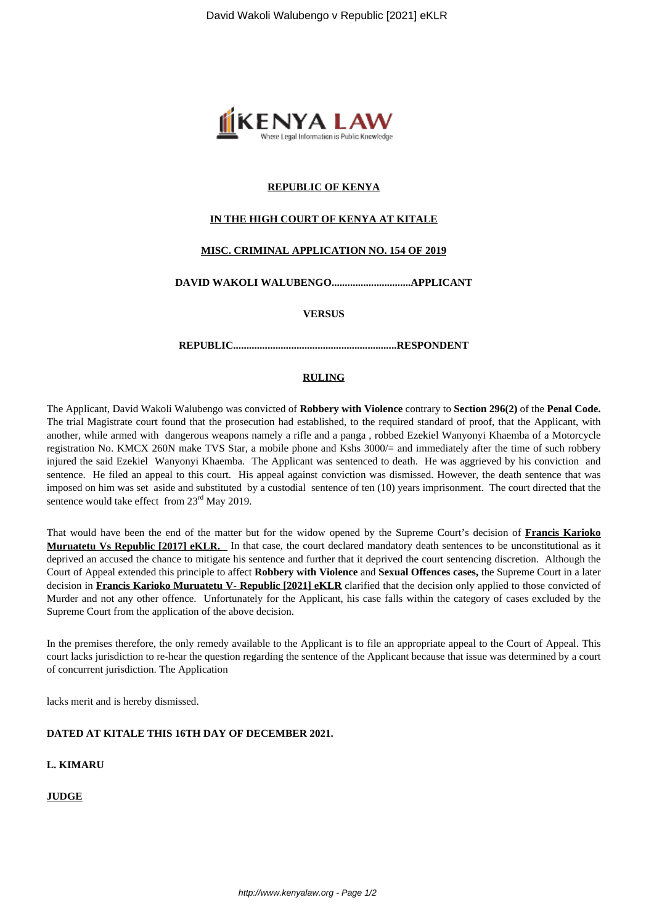

## **REPUBLIC OF KENYA**

## **IN THE HIGH COURT OF KENYA AT KITALE**

# **MISC. CRIMINAL APPLICATION NO. 154 OF 2019**

# **DAVID WAKOLI WALUBENGO..............................APPLICANT**

**VERSUS**

**REPUBLIC..............................................................RESPONDENT**

## **RULING**

The Applicant, David Wakoli Walubengo was convicted of **Robbery with Violence** contrary to **Section 296(2)** of the **Penal Code.** The trial Magistrate court found that the prosecution had established, to the required standard of proof, that the Applicant, with another, while armed with dangerous weapons namely a rifle and a panga , robbed Ezekiel Wanyonyi Khaemba of a Motorcycle registration No. KMCX 260N make TVS Star, a mobile phone and Kshs 3000/= and immediately after the time of such robbery injured the said Ezekiel Wanyonyi Khaemba. The Applicant was sentenced to death. He was aggrieved by his conviction and sentence. He filed an appeal to this court. His appeal against conviction was dismissed. However, the death sentence that was imposed on him was set aside and substituted by a custodial sentence of ten (10) years imprisonment. The court directed that the sentence would take effect from 23<sup>rd</sup> May 2019.

That would have been the end of the matter but for the widow opened by the Supreme Court's decision of **Francis Karioko Muruatetu Vs Republic [2017] eKLR.** In that case, the court declared mandatory death sentences to be unconstitutional as it deprived an accused the chance to mitigate his sentence and further that it deprived the court sentencing discretion. Although the Court of Appeal extended this principle to affect **Robbery with Violence** and **Sexual Offences cases,** the Supreme Court in a later decision in **Francis Karioko Muruatetu V- Republic [2021] eKLR** clarified that the decision only applied to those convicted of Murder and not any other offence. Unfortunately for the Applicant, his case falls within the category of cases excluded by the Supreme Court from the application of the above decision.

In the premises therefore, the only remedy available to the Applicant is to file an appropriate appeal to the Court of Appeal. This court lacks jurisdiction to re-hear the question regarding the sentence of the Applicant because that issue was determined by a court of concurrent jurisdiction. The Application

lacks merit and is hereby dismissed.

#### **DATED AT KITALE THIS 16TH DAY OF DECEMBER 2021.**

# **L. KIMARU**

#### **JUDGE**